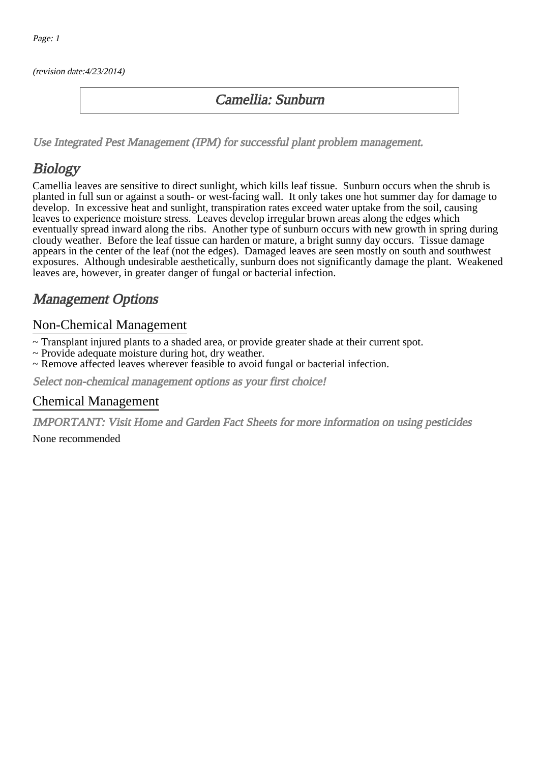(revision date:4/23/2014)

### Camellia: Sunburn

[Use Integrated Pest Management \(IPM\) for successful plant problem management.](http://pep.wsu.edu/Home_Garden/H_G_Pesticide_info/urban_Integrated_Pest_Managmen/)

## Biology

Camellia leaves are sensitive to direct sunlight, which kills leaf tissue. Sunburn occurs when the shrub is planted in full sun or against a south- or west-facing wall. It only takes one hot summer day for damage to develop. In excessive heat and sunlight, transpiration rates exceed water uptake from the soil, causing leaves to experience moisture stress. Leaves develop irregular brown areas along the edges which eventually spread inward along the ribs. Another type of sunburn occurs with new growth in spring during cloudy weather. Before the leaf tissue can harden or mature, a bright sunny day occurs. Tissue damage appears in the center of the leaf (not the edges). Damaged leaves are seen mostly on south and southwest exposures. Although undesirable aesthetically, sunburn does not significantly damage the plant. Weakened leaves are, however, in greater danger of fungal or bacterial infection.

### Management Options

#### Non-Chemical Management

~ Transplant injured plants to a shaded area, or provide greater shade at their current spot.

- ~ Provide adequate moisture during hot, dry weather.
- ~ Remove affected leaves wherever feasible to avoid fungal or bacterial infection.

Select non-chemical management options as your first choice!

#### Chemical Management

IMPORTANT: [Visit Home and Garden Fact Sheets for more information on using pesticides](http://pep.wsu.edu/Home_Garden/H_G_Pesticide_info/)

None recommended